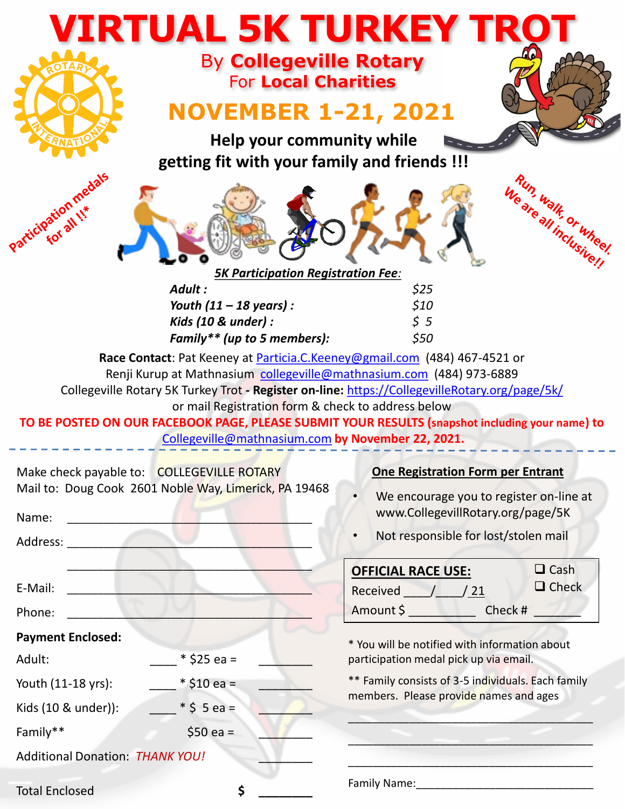| <b>VIRTUAL 5K TURKEY TRO</b>                                              |                                                                                                                                                                                 |                                                                                                                                                                                                                                                                                |
|---------------------------------------------------------------------------|---------------------------------------------------------------------------------------------------------------------------------------------------------------------------------|--------------------------------------------------------------------------------------------------------------------------------------------------------------------------------------------------------------------------------------------------------------------------------|
|                                                                           | <b>By Collegeville Rotary</b><br><b>For Local Charities</b><br><b>NOVEMBER 1-21, 2021</b>                                                                                       |                                                                                                                                                                                                                                                                                |
| Help your community while<br>getting fit with your family and friends !!! |                                                                                                                                                                                 |                                                                                                                                                                                                                                                                                |
| varticipation medals                                                      | <b>5K Participation Registration Fee:</b>                                                                                                                                       | Weareall inclusively                                                                                                                                                                                                                                                           |
|                                                                           | Adult :<br>Youth $(11 - 18$ years):<br>Kids (10 & under) :<br>Family** (up to 5 members):                                                                                       | \$25<br>\$10<br>55<br>\$50                                                                                                                                                                                                                                                     |
|                                                                           | Renji Kurup at Mathnasium collegeville@mathnasium.com (484) 973-6889<br>or mail Registration form & check to address below<br>Collegeville@mathnasium.com by November 22, 2021. | Race Contact: Pat Keeney at Particia.C.Keeney@gmail.com (484) 467-4521 or<br>Collegeville Rotary 5K Turkey Trot - Register on-line: https://CollegevilleRotary.org/page/5k/<br>TO BE POSTED ON OUR FACEBOOK PAGE, PLEASE SUBMIT YOUR RESULTS (snapshot including your name) to |
| Make check payable to: COLLEGEVILLE ROTARY                                | Mail to: Doug Cook 2601 Noble Way, Limerick, PA 19468                                                                                                                           | <b>One Registration Form per Entrant</b><br>We encourage you to register on-line at                                                                                                                                                                                            |
| Name:<br>Address: 2008 and 2008                                           |                                                                                                                                                                                 | www.CollegevillRotary.org/page/5K<br>Not responsible for lost/stolen mail<br>$\bullet$                                                                                                                                                                                         |
| E-Mail:<br>Phone:                                                         |                                                                                                                                                                                 | $\Box$ Cash<br><b>OFFICIAL RACE USE:</b><br>$\Box$ Check<br>Received / / 21<br>Amount \$ ___________________ Check # ________                                                                                                                                                  |
| <b>Payment Enclosed:</b>                                                  |                                                                                                                                                                                 | * You will be notified with information about                                                                                                                                                                                                                                  |
| Adult:                                                                    | $*$ \$25 ea =                                                                                                                                                                   | participation medal pick up via email.                                                                                                                                                                                                                                         |
| Youth (11-18 yrs):                                                        | $*$ \$10 ea =                                                                                                                                                                   | ** Family consists of 3-5 individuals. Each family<br>members. Please provide names and ages                                                                                                                                                                                   |
| Kids (10 & under)):                                                       | $*$ \$ 5 ea =                                                                                                                                                                   |                                                                                                                                                                                                                                                                                |
| Family**                                                                  | $$50$ ea =                                                                                                                                                                      |                                                                                                                                                                                                                                                                                |
| <b>Additional Donation: THANK YOU!</b>                                    |                                                                                                                                                                                 |                                                                                                                                                                                                                                                                                |
| <b>Total Enclosed</b>                                                     | \$                                                                                                                                                                              |                                                                                                                                                                                                                                                                                |